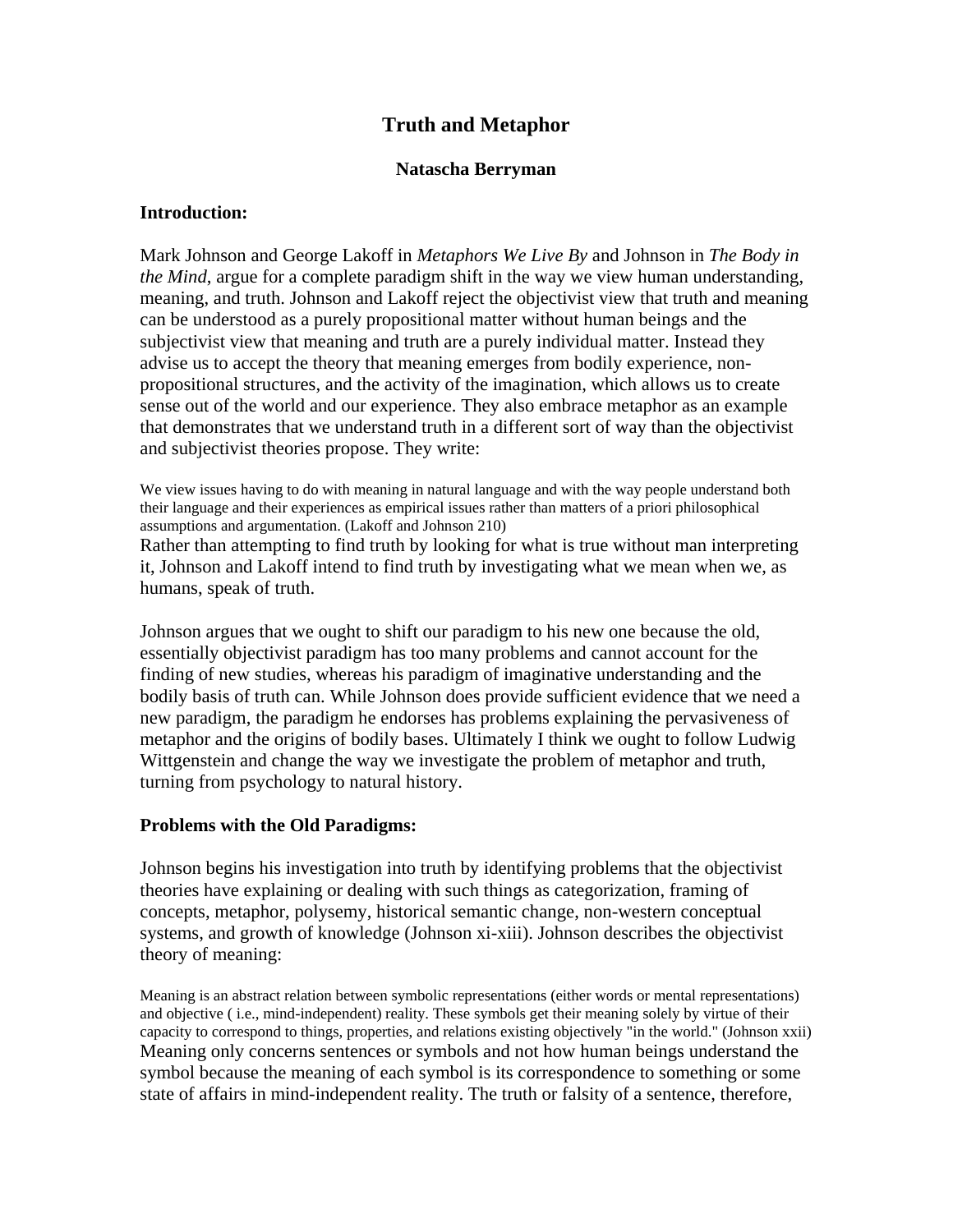# **Truth and Metaphor**

### **Natascha Berryman**

### **Introduction:**

Mark Johnson and George Lakoff in *Metaphors We Live By* and Johnson in *The Body in the Mind*, argue for a complete paradigm shift in the way we view human understanding, meaning, and truth. Johnson and Lakoff reject the objectivist view that truth and meaning can be understood as a purely propositional matter without human beings and the subjectivist view that meaning and truth are a purely individual matter. Instead they advise us to accept the theory that meaning emerges from bodily experience, nonpropositional structures, and the activity of the imagination, which allows us to create sense out of the world and our experience. They also embrace metaphor as an example that demonstrates that we understand truth in a different sort of way than the objectivist and subjectivist theories propose. They write:

We view issues having to do with meaning in natural language and with the way people understand both their language and their experiences as empirical issues rather than matters of a priori philosophical assumptions and argumentation. (Lakoff and Johnson 210)

Rather than attempting to find truth by looking for what is true without man interpreting it, Johnson and Lakoff intend to find truth by investigating what we mean when we, as humans, speak of truth.

Johnson argues that we ought to shift our paradigm to his new one because the old, essentially objectivist paradigm has too many problems and cannot account for the finding of new studies, whereas his paradigm of imaginative understanding and the bodily basis of truth can. While Johnson does provide sufficient evidence that we need a new paradigm, the paradigm he endorses has problems explaining the pervasiveness of metaphor and the origins of bodily bases. Ultimately I think we ought to follow Ludwig Wittgenstein and change the way we investigate the problem of metaphor and truth, turning from psychology to natural history.

## **Problems with the Old Paradigms:**

Johnson begins his investigation into truth by identifying problems that the objectivist theories have explaining or dealing with such things as categorization, framing of concepts, metaphor, polysemy, historical semantic change, non-western conceptual systems, and growth of knowledge (Johnson xi-xiii). Johnson describes the objectivist theory of meaning:

Meaning is an abstract relation between symbolic representations (either words or mental representations) and objective ( i.e., mind-independent) reality. These symbols get their meaning solely by virtue of their capacity to correspond to things, properties, and relations existing objectively "in the world." (Johnson xxii) Meaning only concerns sentences or symbols and not how human beings understand the symbol because the meaning of each symbol is its correspondence to something or some state of affairs in mind-independent reality. The truth or falsity of a sentence, therefore,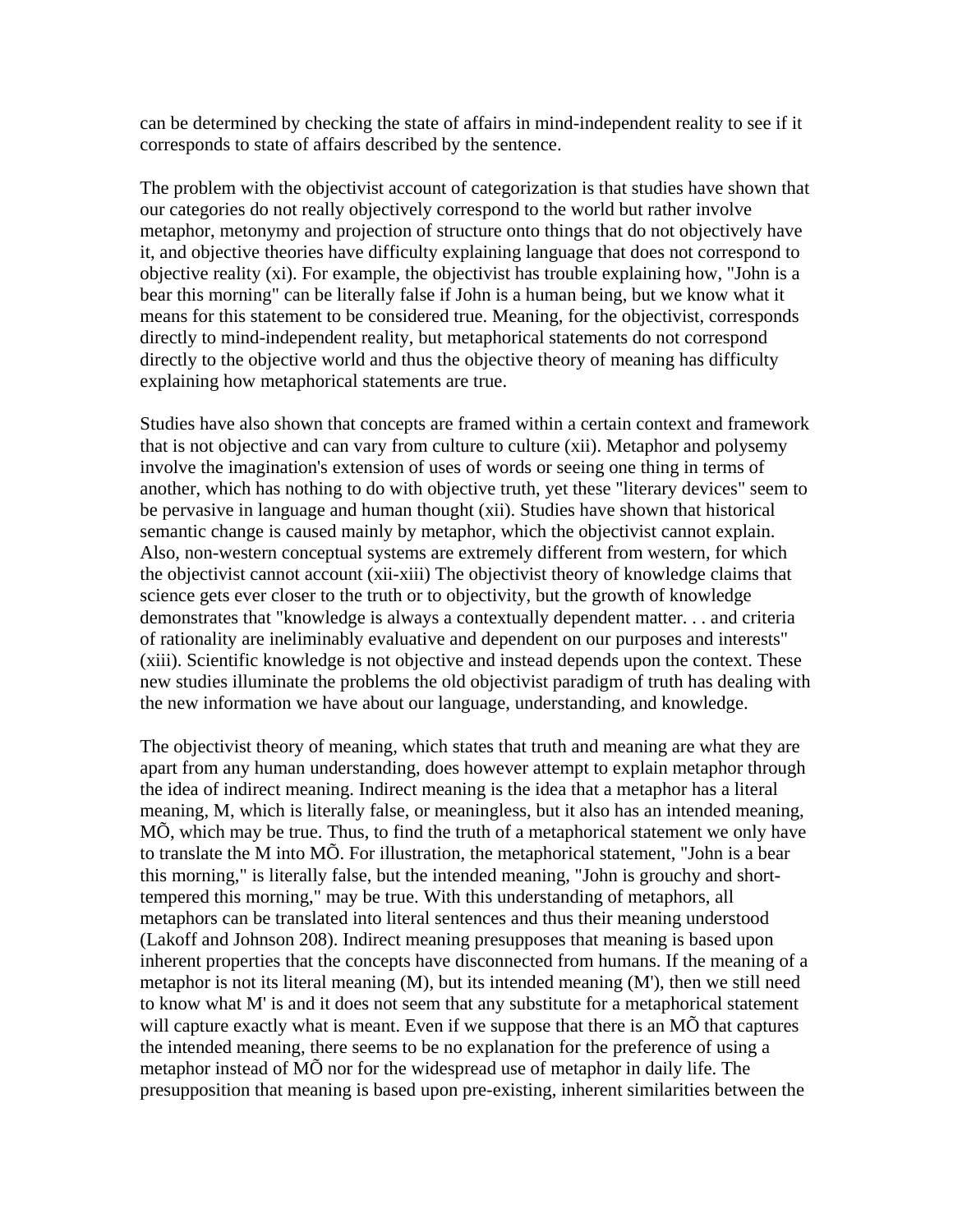can be determined by checking the state of affairs in mind-independent reality to see if it corresponds to state of affairs described by the sentence.

The problem with the objectivist account of categorization is that studies have shown that our categories do not really objectively correspond to the world but rather involve metaphor, metonymy and projection of structure onto things that do not objectively have it, and objective theories have difficulty explaining language that does not correspond to objective reality (xi). For example, the objectivist has trouble explaining how, "John is a bear this morning" can be literally false if John is a human being, but we know what it means for this statement to be considered true. Meaning, for the objectivist, corresponds directly to mind-independent reality, but metaphorical statements do not correspond directly to the objective world and thus the objective theory of meaning has difficulty explaining how metaphorical statements are true.

Studies have also shown that concepts are framed within a certain context and framework that is not objective and can vary from culture to culture (xii). Metaphor and polysemy involve the imagination's extension of uses of words or seeing one thing in terms of another, which has nothing to do with objective truth, yet these "literary devices" seem to be pervasive in language and human thought (xii). Studies have shown that historical semantic change is caused mainly by metaphor, which the objectivist cannot explain. Also, non-western conceptual systems are extremely different from western, for which the objectivist cannot account (xii-xiii) The objectivist theory of knowledge claims that science gets ever closer to the truth or to objectivity, but the growth of knowledge demonstrates that "knowledge is always a contextually dependent matter. . . and criteria of rationality are ineliminably evaluative and dependent on our purposes and interests" (xiii). Scientific knowledge is not objective and instead depends upon the context. These new studies illuminate the problems the old objectivist paradigm of truth has dealing with the new information we have about our language, understanding, and knowledge.

The objectivist theory of meaning, which states that truth and meaning are what they are apart from any human understanding, does however attempt to explain metaphor through the idea of indirect meaning. Indirect meaning is the idea that a metaphor has a literal meaning, M, which is literally false, or meaningless, but it also has an intended meaning, MÕ, which may be true. Thus, to find the truth of a metaphorical statement we only have to translate the M into MÕ. For illustration, the metaphorical statement, "John is a bear this morning," is literally false, but the intended meaning, "John is grouchy and shorttempered this morning," may be true. With this understanding of metaphors, all metaphors can be translated into literal sentences and thus their meaning understood (Lakoff and Johnson 208). Indirect meaning presupposes that meaning is based upon inherent properties that the concepts have disconnected from humans. If the meaning of a metaphor is not its literal meaning (M), but its intended meaning (M'), then we still need to know what M' is and it does not seem that any substitute for a metaphorical statement will capture exactly what is meant. Even if we suppose that there is an MÕ that captures the intended meaning, there seems to be no explanation for the preference of using a metaphor instead of MÕ nor for the widespread use of metaphor in daily life. The presupposition that meaning is based upon pre-existing, inherent similarities between the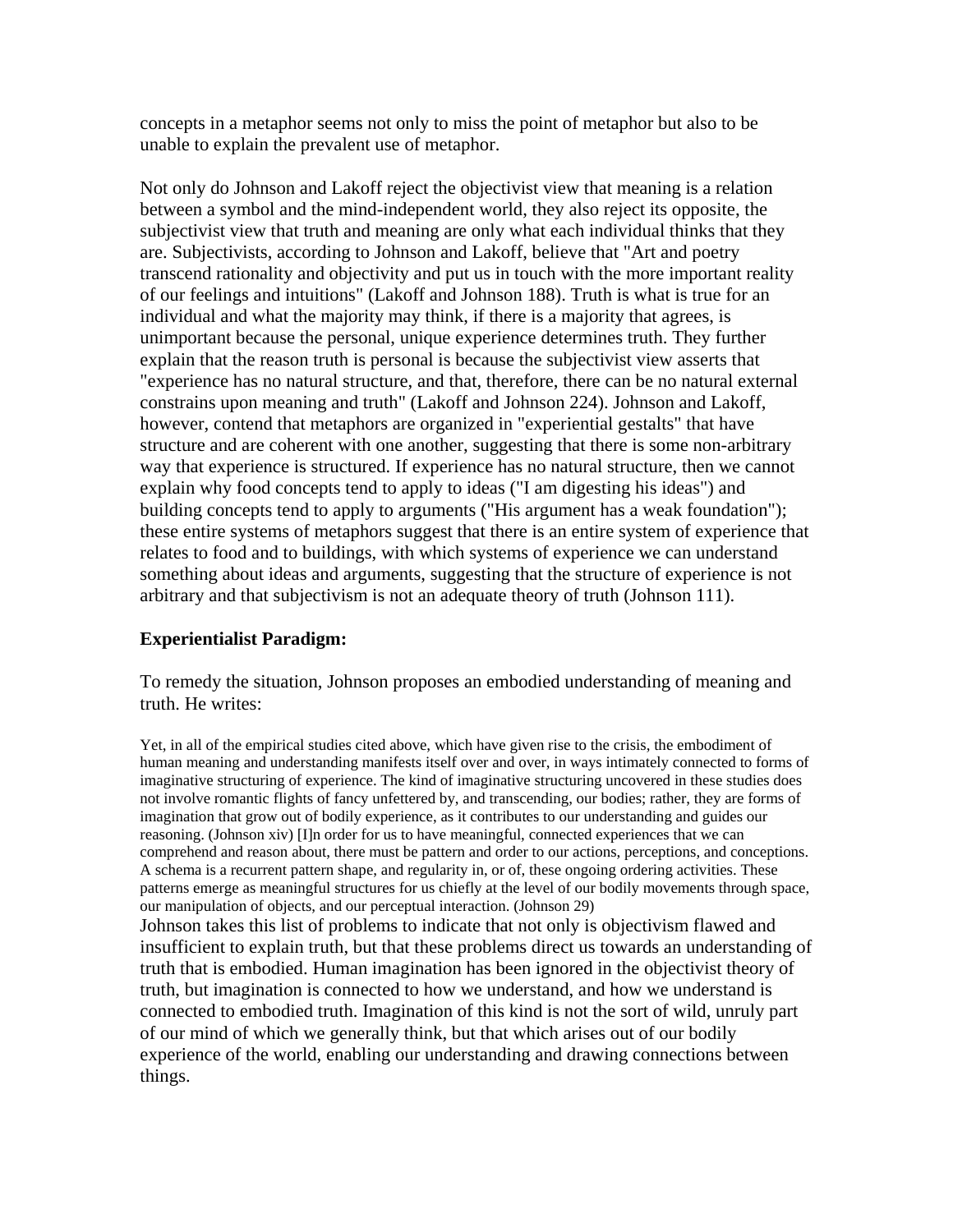concepts in a metaphor seems not only to miss the point of metaphor but also to be unable to explain the prevalent use of metaphor.

Not only do Johnson and Lakoff reject the objectivist view that meaning is a relation between a symbol and the mind-independent world, they also reject its opposite, the subjectivist view that truth and meaning are only what each individual thinks that they are. Subjectivists, according to Johnson and Lakoff, believe that "Art and poetry transcend rationality and objectivity and put us in touch with the more important reality of our feelings and intuitions" (Lakoff and Johnson 188). Truth is what is true for an individual and what the majority may think, if there is a majority that agrees, is unimportant because the personal, unique experience determines truth. They further explain that the reason truth is personal is because the subjectivist view asserts that "experience has no natural structure, and that, therefore, there can be no natural external constrains upon meaning and truth" (Lakoff and Johnson 224). Johnson and Lakoff, however, contend that metaphors are organized in "experiential gestalts" that have structure and are coherent with one another, suggesting that there is some non-arbitrary way that experience is structured. If experience has no natural structure, then we cannot explain why food concepts tend to apply to ideas ("I am digesting his ideas") and building concepts tend to apply to arguments ("His argument has a weak foundation"); these entire systems of metaphors suggest that there is an entire system of experience that relates to food and to buildings, with which systems of experience we can understand something about ideas and arguments, suggesting that the structure of experience is not arbitrary and that subjectivism is not an adequate theory of truth (Johnson 111).

## **Experientialist Paradigm:**

To remedy the situation, Johnson proposes an embodied understanding of meaning and truth. He writes:

Yet, in all of the empirical studies cited above, which have given rise to the crisis, the embodiment of human meaning and understanding manifests itself over and over, in ways intimately connected to forms of imaginative structuring of experience. The kind of imaginative structuring uncovered in these studies does not involve romantic flights of fancy unfettered by, and transcending, our bodies; rather, they are forms of imagination that grow out of bodily experience, as it contributes to our understanding and guides our reasoning. (Johnson xiv) [I]n order for us to have meaningful, connected experiences that we can comprehend and reason about, there must be pattern and order to our actions, perceptions, and conceptions. A schema is a recurrent pattern shape, and regularity in, or of, these ongoing ordering activities. These patterns emerge as meaningful structures for us chiefly at the level of our bodily movements through space, our manipulation of objects, and our perceptual interaction. (Johnson 29) Johnson takes this list of problems to indicate that not only is objectivism flawed and insufficient to explain truth, but that these problems direct us towards an understanding of truth that is embodied. Human imagination has been ignored in the objectivist theory of truth, but imagination is connected to how we understand, and how we understand is connected to embodied truth. Imagination of this kind is not the sort of wild, unruly part of our mind of which we generally think, but that which arises out of our bodily experience of the world, enabling our understanding and drawing connections between things.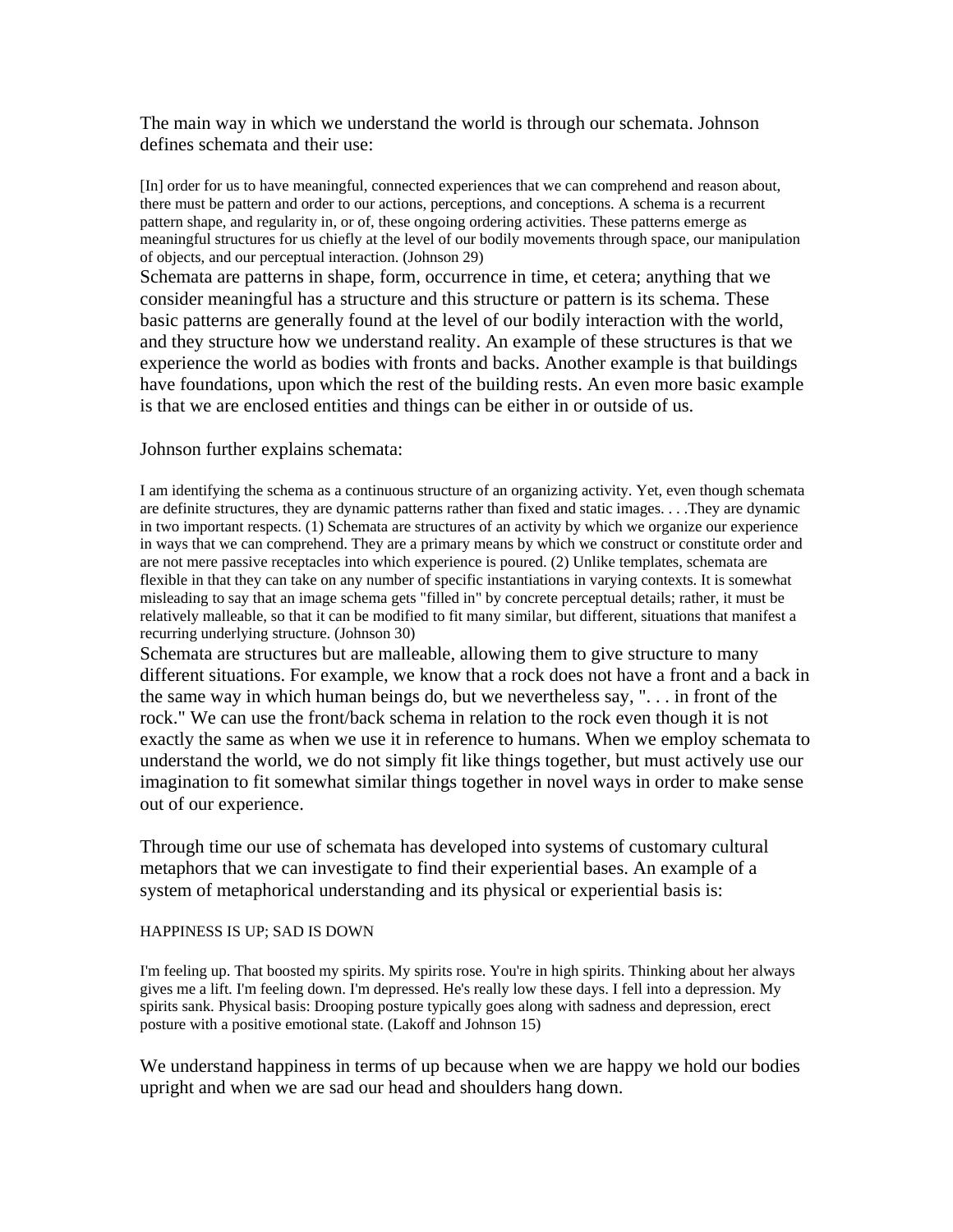The main way in which we understand the world is through our schemata. Johnson defines schemata and their use:

[In] order for us to have meaningful, connected experiences that we can comprehend and reason about, there must be pattern and order to our actions, perceptions, and conceptions. A schema is a recurrent pattern shape, and regularity in, or of, these ongoing ordering activities. These patterns emerge as meaningful structures for us chiefly at the level of our bodily movements through space, our manipulation of objects, and our perceptual interaction. (Johnson 29)

Schemata are patterns in shape, form, occurrence in time, et cetera; anything that we consider meaningful has a structure and this structure or pattern is its schema. These basic patterns are generally found at the level of our bodily interaction with the world, and they structure how we understand reality. An example of these structures is that we experience the world as bodies with fronts and backs. Another example is that buildings have foundations, upon which the rest of the building rests. An even more basic example is that we are enclosed entities and things can be either in or outside of us.

#### Johnson further explains schemata:

I am identifying the schema as a continuous structure of an organizing activity. Yet, even though schemata are definite structures, they are dynamic patterns rather than fixed and static images. . . .They are dynamic in two important respects. (1) Schemata are structures of an activity by which we organize our experience in ways that we can comprehend. They are a primary means by which we construct or constitute order and are not mere passive receptacles into which experience is poured. (2) Unlike templates, schemata are flexible in that they can take on any number of specific instantiations in varying contexts. It is somewhat misleading to say that an image schema gets "filled in" by concrete perceptual details; rather, it must be relatively malleable, so that it can be modified to fit many similar, but different, situations that manifest a recurring underlying structure. (Johnson 30)

Schemata are structures but are malleable, allowing them to give structure to many different situations. For example, we know that a rock does not have a front and a back in the same way in which human beings do, but we nevertheless say, ". . . in front of the rock." We can use the front/back schema in relation to the rock even though it is not exactly the same as when we use it in reference to humans. When we employ schemata to understand the world, we do not simply fit like things together, but must actively use our imagination to fit somewhat similar things together in novel ways in order to make sense out of our experience.

Through time our use of schemata has developed into systems of customary cultural metaphors that we can investigate to find their experiential bases. An example of a system of metaphorical understanding and its physical or experiential basis is:

#### HAPPINESS IS UP; SAD IS DOWN

I'm feeling up. That boosted my spirits. My spirits rose. You're in high spirits. Thinking about her always gives me a lift. I'm feeling down. I'm depressed. He's really low these days. I fell into a depression. My spirits sank. Physical basis: Drooping posture typically goes along with sadness and depression, erect posture with a positive emotional state. (Lakoff and Johnson 15)

We understand happiness in terms of up because when we are happy we hold our bodies upright and when we are sad our head and shoulders hang down.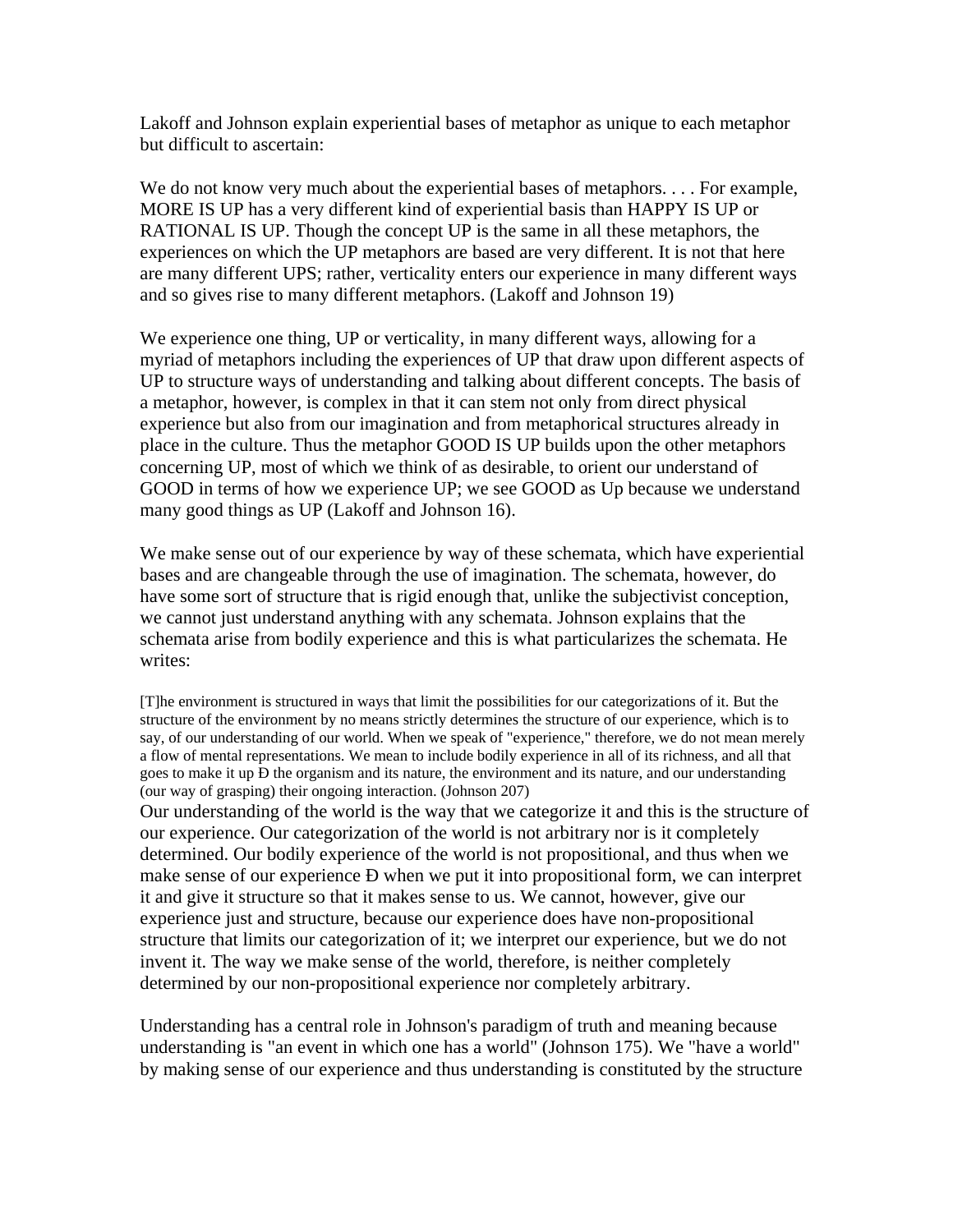Lakoff and Johnson explain experiential bases of metaphor as unique to each metaphor but difficult to ascertain:

We do not know very much about the experiential bases of metaphors. . . . For example, MORE IS UP has a very different kind of experiential basis than HAPPY IS UP or RATIONAL IS UP. Though the concept UP is the same in all these metaphors, the experiences on which the UP metaphors are based are very different. It is not that here are many different UPS; rather, verticality enters our experience in many different ways and so gives rise to many different metaphors. (Lakoff and Johnson 19)

We experience one thing, UP or verticality, in many different ways, allowing for a myriad of metaphors including the experiences of UP that draw upon different aspects of UP to structure ways of understanding and talking about different concepts. The basis of a metaphor, however, is complex in that it can stem not only from direct physical experience but also from our imagination and from metaphorical structures already in place in the culture. Thus the metaphor GOOD IS UP builds upon the other metaphors concerning UP, most of which we think of as desirable, to orient our understand of GOOD in terms of how we experience UP; we see GOOD as Up because we understand many good things as UP (Lakoff and Johnson 16).

We make sense out of our experience by way of these schemata, which have experiential bases and are changeable through the use of imagination. The schemata, however, do have some sort of structure that is rigid enough that, unlike the subjectivist conception, we cannot just understand anything with any schemata. Johnson explains that the schemata arise from bodily experience and this is what particularizes the schemata. He writes:

[T]he environment is structured in ways that limit the possibilities for our categorizations of it. But the structure of the environment by no means strictly determines the structure of our experience, which is to say, of our understanding of our world. When we speak of "experience," therefore, we do not mean merely a flow of mental representations. We mean to include bodily experience in all of its richness, and all that goes to make it up Ð the organism and its nature, the environment and its nature, and our understanding (our way of grasping) their ongoing interaction. (Johnson 207)

Our understanding of the world is the way that we categorize it and this is the structure of our experience. Our categorization of the world is not arbitrary nor is it completely determined. Our bodily experience of the world is not propositional, and thus when we make sense of our experience Ð when we put it into propositional form, we can interpret it and give it structure so that it makes sense to us. We cannot, however, give our experience just and structure, because our experience does have non-propositional structure that limits our categorization of it; we interpret our experience, but we do not invent it. The way we make sense of the world, therefore, is neither completely determined by our non-propositional experience nor completely arbitrary.

Understanding has a central role in Johnson's paradigm of truth and meaning because understanding is "an event in which one has a world" (Johnson 175). We "have a world" by making sense of our experience and thus understanding is constituted by the structure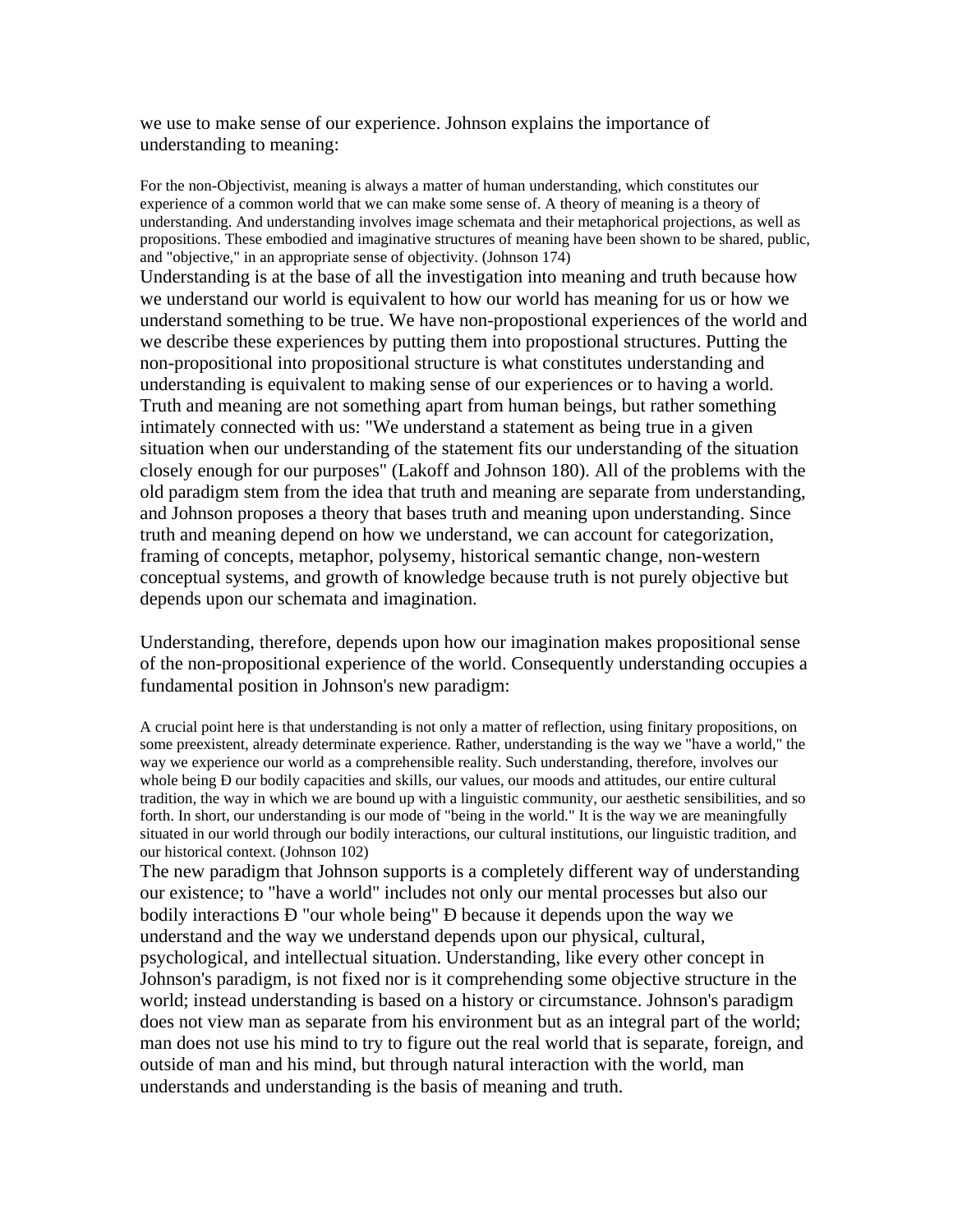we use to make sense of our experience. Johnson explains the importance of understanding to meaning:

For the non-Objectivist, meaning is always a matter of human understanding, which constitutes our experience of a common world that we can make some sense of. A theory of meaning is a theory of understanding. And understanding involves image schemata and their metaphorical projections, as well as propositions. These embodied and imaginative structures of meaning have been shown to be shared, public, and "objective," in an appropriate sense of objectivity. (Johnson 174)

Understanding is at the base of all the investigation into meaning and truth because how we understand our world is equivalent to how our world has meaning for us or how we understand something to be true. We have non-propostional experiences of the world and we describe these experiences by putting them into propostional structures. Putting the non-propositional into propositional structure is what constitutes understanding and understanding is equivalent to making sense of our experiences or to having a world. Truth and meaning are not something apart from human beings, but rather something intimately connected with us: "We understand a statement as being true in a given situation when our understanding of the statement fits our understanding of the situation closely enough for our purposes" (Lakoff and Johnson 180). All of the problems with the old paradigm stem from the idea that truth and meaning are separate from understanding, and Johnson proposes a theory that bases truth and meaning upon understanding. Since truth and meaning depend on how we understand, we can account for categorization, framing of concepts, metaphor, polysemy, historical semantic change, non-western conceptual systems, and growth of knowledge because truth is not purely objective but depends upon our schemata and imagination.

Understanding, therefore, depends upon how our imagination makes propositional sense of the non-propositional experience of the world. Consequently understanding occupies a fundamental position in Johnson's new paradigm:

A crucial point here is that understanding is not only a matter of reflection, using finitary propositions, on some preexistent, already determinate experience. Rather, understanding is the way we "have a world," the way we experience our world as a comprehensible reality. Such understanding, therefore, involves our whole being Đ our bodily capacities and skills, our values, our moods and attitudes, our entire cultural tradition, the way in which we are bound up with a linguistic community, our aesthetic sensibilities, and so forth. In short, our understanding is our mode of "being in the world." It is the way we are meaningfully situated in our world through our bodily interactions, our cultural institutions, our linguistic tradition, and our historical context. (Johnson 102)

The new paradigm that Johnson supports is a completely different way of understanding our existence; to "have a world" includes not only our mental processes but also our bodily interactions Ð "our whole being" Ð because it depends upon the way we understand and the way we understand depends upon our physical, cultural, psychological, and intellectual situation. Understanding, like every other concept in Johnson's paradigm, is not fixed nor is it comprehending some objective structure in the world; instead understanding is based on a history or circumstance. Johnson's paradigm does not view man as separate from his environment but as an integral part of the world; man does not use his mind to try to figure out the real world that is separate, foreign, and outside of man and his mind, but through natural interaction with the world, man understands and understanding is the basis of meaning and truth.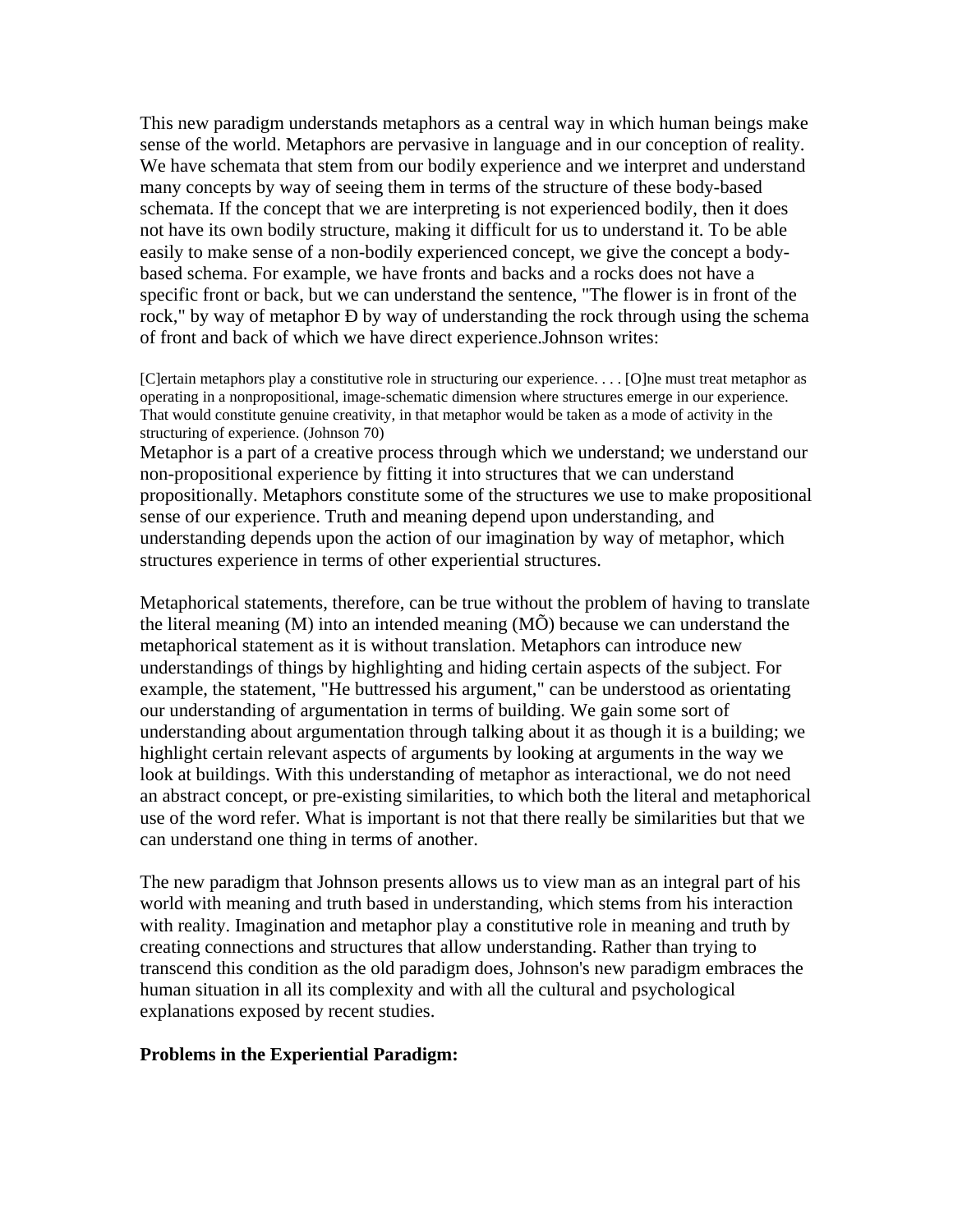This new paradigm understands metaphors as a central way in which human beings make sense of the world. Metaphors are pervasive in language and in our conception of reality. We have schemata that stem from our bodily experience and we interpret and understand many concepts by way of seeing them in terms of the structure of these body-based schemata. If the concept that we are interpreting is not experienced bodily, then it does not have its own bodily structure, making it difficult for us to understand it. To be able easily to make sense of a non-bodily experienced concept, we give the concept a bodybased schema. For example, we have fronts and backs and a rocks does not have a specific front or back, but we can understand the sentence, "The flower is in front of the rock," by way of metaphor Ð by way of understanding the rock through using the schema of front and back of which we have direct experience.Johnson writes:

[C]ertain metaphors play a constitutive role in structuring our experience. . . . [O]ne must treat metaphor as operating in a nonpropositional, image-schematic dimension where structures emerge in our experience. That would constitute genuine creativity, in that metaphor would be taken as a mode of activity in the structuring of experience. (Johnson 70)

Metaphor is a part of a creative process through which we understand; we understand our non-propositional experience by fitting it into structures that we can understand propositionally. Metaphors constitute some of the structures we use to make propositional sense of our experience. Truth and meaning depend upon understanding, and understanding depends upon the action of our imagination by way of metaphor, which structures experience in terms of other experiential structures.

Metaphorical statements, therefore, can be true without the problem of having to translate the literal meaning  $(M)$  into an intended meaning  $(M\tilde{O})$  because we can understand the metaphorical statement as it is without translation. Metaphors can introduce new understandings of things by highlighting and hiding certain aspects of the subject. For example, the statement, "He buttressed his argument," can be understood as orientating our understanding of argumentation in terms of building. We gain some sort of understanding about argumentation through talking about it as though it is a building; we highlight certain relevant aspects of arguments by looking at arguments in the way we look at buildings. With this understanding of metaphor as interactional, we do not need an abstract concept, or pre-existing similarities, to which both the literal and metaphorical use of the word refer. What is important is not that there really be similarities but that we can understand one thing in terms of another.

The new paradigm that Johnson presents allows us to view man as an integral part of his world with meaning and truth based in understanding, which stems from his interaction with reality. Imagination and metaphor play a constitutive role in meaning and truth by creating connections and structures that allow understanding. Rather than trying to transcend this condition as the old paradigm does, Johnson's new paradigm embraces the human situation in all its complexity and with all the cultural and psychological explanations exposed by recent studies.

### **Problems in the Experiential Paradigm:**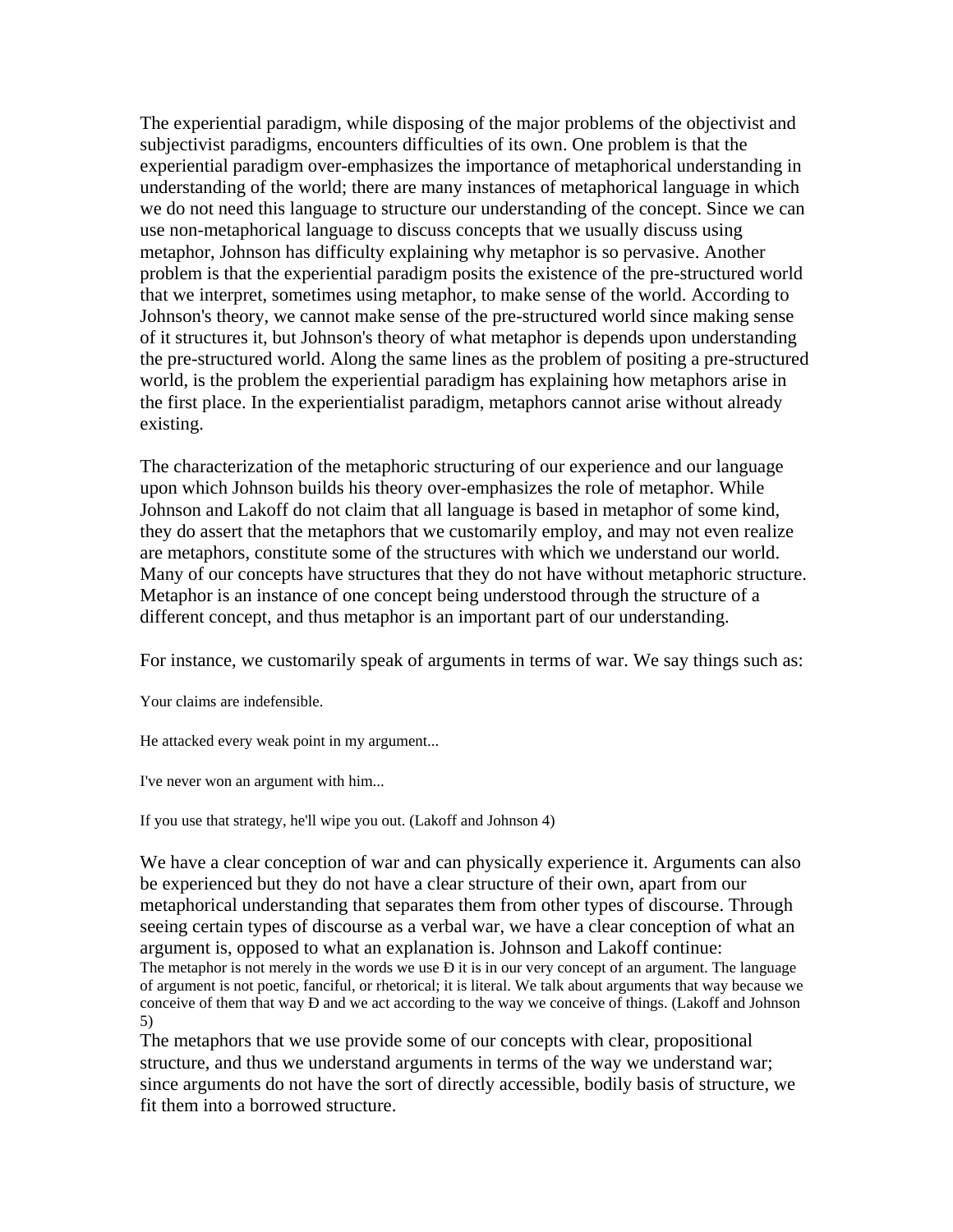The experiential paradigm, while disposing of the major problems of the objectivist and subjectivist paradigms, encounters difficulties of its own. One problem is that the experiential paradigm over-emphasizes the importance of metaphorical understanding in understanding of the world; there are many instances of metaphorical language in which we do not need this language to structure our understanding of the concept. Since we can use non-metaphorical language to discuss concepts that we usually discuss using metaphor, Johnson has difficulty explaining why metaphor is so pervasive. Another problem is that the experiential paradigm posits the existence of the pre-structured world that we interpret, sometimes using metaphor, to make sense of the world. According to Johnson's theory, we cannot make sense of the pre-structured world since making sense of it structures it, but Johnson's theory of what metaphor is depends upon understanding the pre-structured world. Along the same lines as the problem of positing a pre-structured world, is the problem the experiential paradigm has explaining how metaphors arise in the first place. In the experientialist paradigm, metaphors cannot arise without already existing.

The characterization of the metaphoric structuring of our experience and our language upon which Johnson builds his theory over-emphasizes the role of metaphor. While Johnson and Lakoff do not claim that all language is based in metaphor of some kind, they do assert that the metaphors that we customarily employ, and may not even realize are metaphors, constitute some of the structures with which we understand our world. Many of our concepts have structures that they do not have without metaphoric structure. Metaphor is an instance of one concept being understood through the structure of a different concept, and thus metaphor is an important part of our understanding.

For instance, we customarily speak of arguments in terms of war. We say things such as:

Your claims are indefensible.

He attacked every weak point in my argument...

I've never won an argument with him...

If you use that strategy, he'll wipe you out. (Lakoff and Johnson 4)

We have a clear conception of war and can physically experience it. Arguments can also be experienced but they do not have a clear structure of their own, apart from our metaphorical understanding that separates them from other types of discourse. Through seeing certain types of discourse as a verbal war, we have a clear conception of what an argument is, opposed to what an explanation is. Johnson and Lakoff continue: The metaphor is not merely in the words we use **Đ** it is in our very concept of an argument. The language of argument is not poetic, fanciful, or rhetorical; it is literal. We talk about arguments that way because we conceive of them that way Ð and we act according to the way we conceive of things. (Lakoff and Johnson 5)

The metaphors that we use provide some of our concepts with clear, propositional structure, and thus we understand arguments in terms of the way we understand war; since arguments do not have the sort of directly accessible, bodily basis of structure, we fit them into a borrowed structure.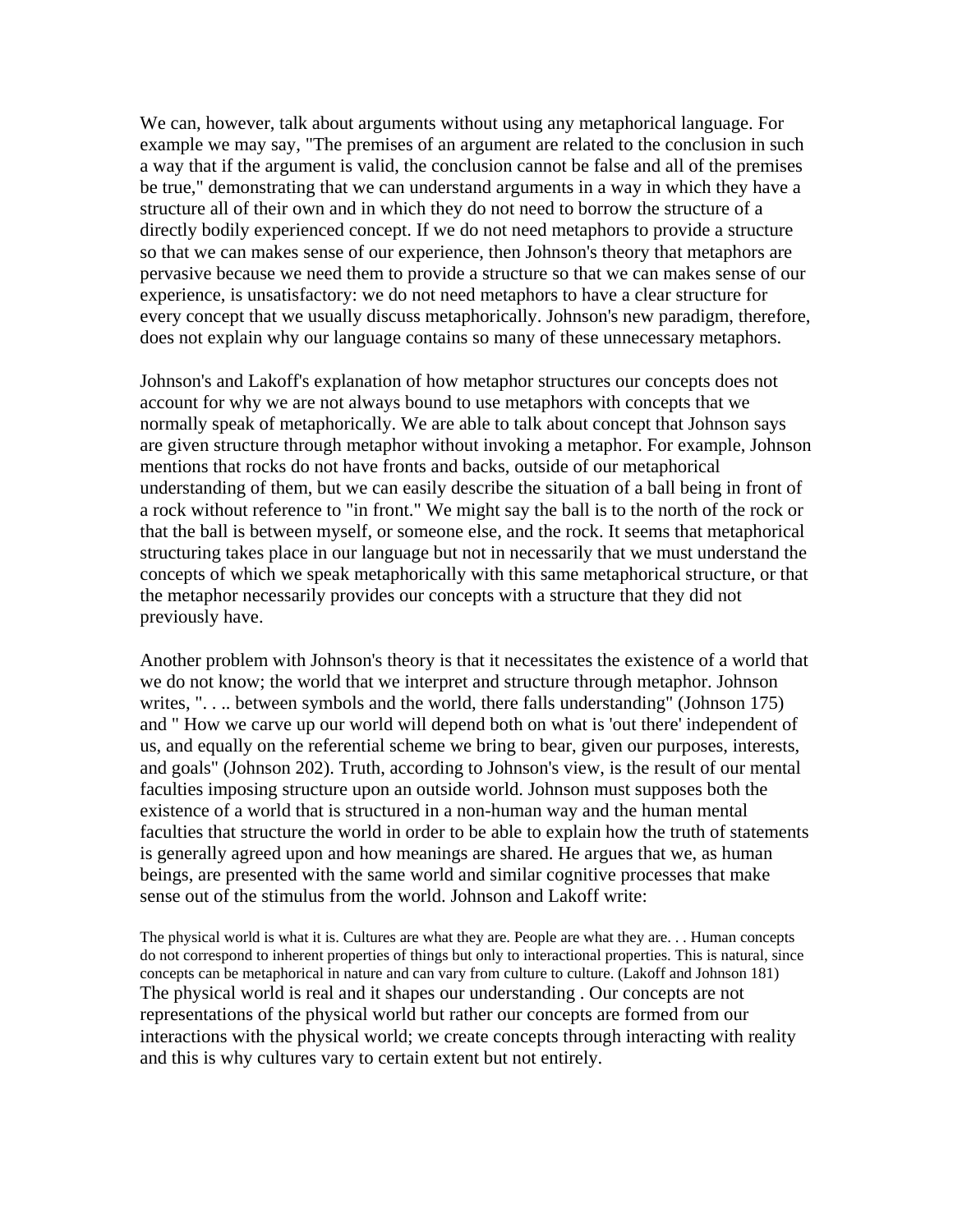We can, however, talk about arguments without using any metaphorical language. For example we may say, "The premises of an argument are related to the conclusion in such a way that if the argument is valid, the conclusion cannot be false and all of the premises be true," demonstrating that we can understand arguments in a way in which they have a structure all of their own and in which they do not need to borrow the structure of a directly bodily experienced concept. If we do not need metaphors to provide a structure so that we can makes sense of our experience, then Johnson's theory that metaphors are pervasive because we need them to provide a structure so that we can makes sense of our experience, is unsatisfactory: we do not need metaphors to have a clear structure for every concept that we usually discuss metaphorically. Johnson's new paradigm, therefore, does not explain why our language contains so many of these unnecessary metaphors.

Johnson's and Lakoff's explanation of how metaphor structures our concepts does not account for why we are not always bound to use metaphors with concepts that we normally speak of metaphorically. We are able to talk about concept that Johnson says are given structure through metaphor without invoking a metaphor. For example, Johnson mentions that rocks do not have fronts and backs, outside of our metaphorical understanding of them, but we can easily describe the situation of a ball being in front of a rock without reference to "in front." We might say the ball is to the north of the rock or that the ball is between myself, or someone else, and the rock. It seems that metaphorical structuring takes place in our language but not in necessarily that we must understand the concepts of which we speak metaphorically with this same metaphorical structure, or that the metaphor necessarily provides our concepts with a structure that they did not previously have.

Another problem with Johnson's theory is that it necessitates the existence of a world that we do not know; the world that we interpret and structure through metaphor. Johnson writes, ".... between symbols and the world, there falls understanding" (Johnson 175) and " How we carve up our world will depend both on what is 'out there' independent of us, and equally on the referential scheme we bring to bear, given our purposes, interests, and goals" (Johnson 202). Truth, according to Johnson's view, is the result of our mental faculties imposing structure upon an outside world. Johnson must supposes both the existence of a world that is structured in a non-human way and the human mental faculties that structure the world in order to be able to explain how the truth of statements is generally agreed upon and how meanings are shared. He argues that we, as human beings, are presented with the same world and similar cognitive processes that make sense out of the stimulus from the world. Johnson and Lakoff write:

The physical world is what it is. Cultures are what they are. People are what they are. . . Human concepts do not correspond to inherent properties of things but only to interactional properties. This is natural, since concepts can be metaphorical in nature and can vary from culture to culture. (Lakoff and Johnson 181) The physical world is real and it shapes our understanding . Our concepts are not representations of the physical world but rather our concepts are formed from our interactions with the physical world; we create concepts through interacting with reality and this is why cultures vary to certain extent but not entirely.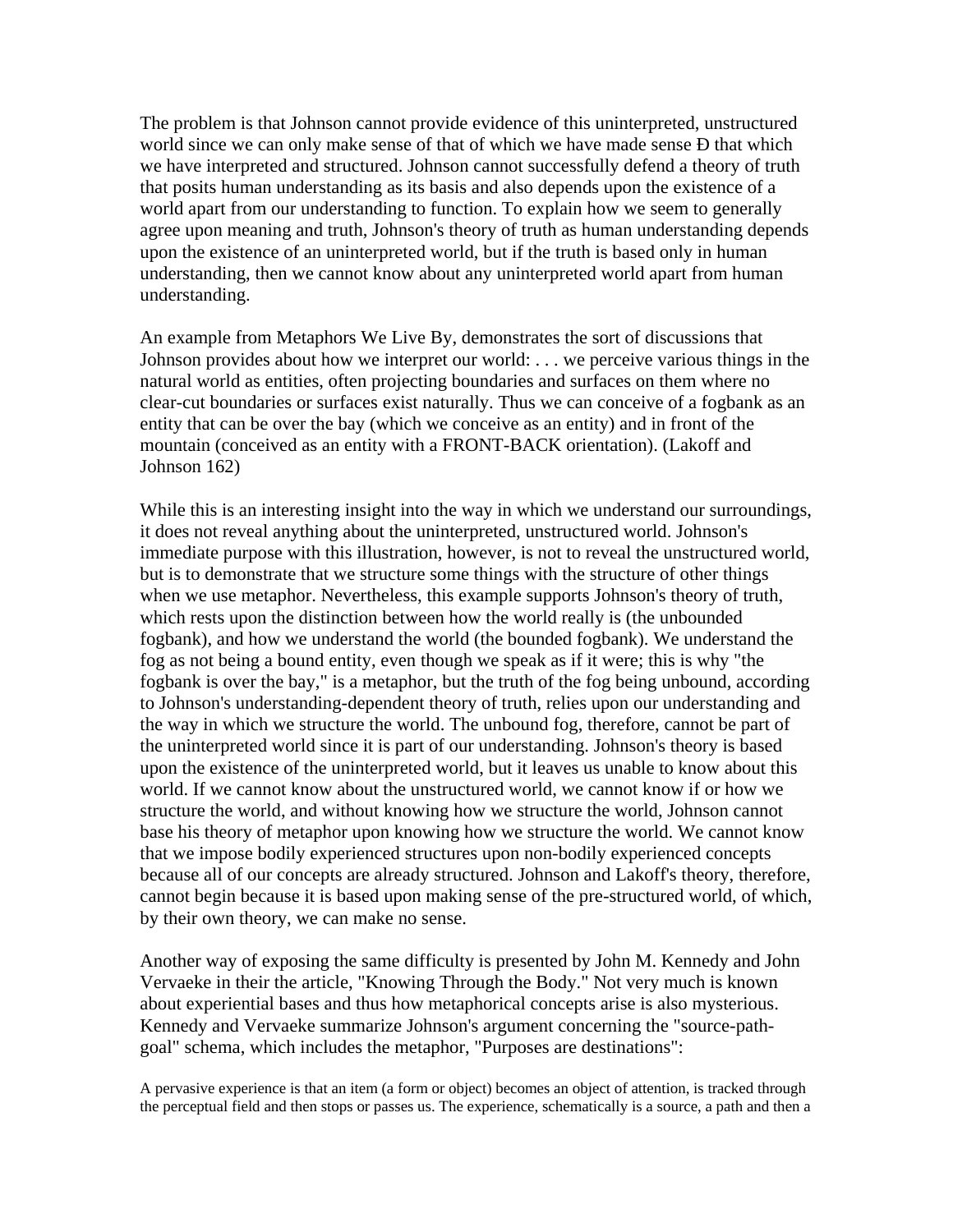The problem is that Johnson cannot provide evidence of this uninterpreted, unstructured world since we can only make sense of that of which we have made sense **Đ** that which we have interpreted and structured. Johnson cannot successfully defend a theory of truth that posits human understanding as its basis and also depends upon the existence of a world apart from our understanding to function. To explain how we seem to generally agree upon meaning and truth, Johnson's theory of truth as human understanding depends upon the existence of an uninterpreted world, but if the truth is based only in human understanding, then we cannot know about any uninterpreted world apart from human understanding.

An example from Metaphors We Live By, demonstrates the sort of discussions that Johnson provides about how we interpret our world: . . . we perceive various things in the natural world as entities, often projecting boundaries and surfaces on them where no clear-cut boundaries or surfaces exist naturally. Thus we can conceive of a fogbank as an entity that can be over the bay (which we conceive as an entity) and in front of the mountain (conceived as an entity with a FRONT-BACK orientation). (Lakoff and Johnson 162)

While this is an interesting insight into the way in which we understand our surroundings, it does not reveal anything about the uninterpreted, unstructured world. Johnson's immediate purpose with this illustration, however, is not to reveal the unstructured world, but is to demonstrate that we structure some things with the structure of other things when we use metaphor. Nevertheless, this example supports Johnson's theory of truth, which rests upon the distinction between how the world really is (the unbounded fogbank), and how we understand the world (the bounded fogbank). We understand the fog as not being a bound entity, even though we speak as if it were; this is why "the fogbank is over the bay," is a metaphor, but the truth of the fog being unbound, according to Johnson's understanding-dependent theory of truth, relies upon our understanding and the way in which we structure the world. The unbound fog, therefore, cannot be part of the uninterpreted world since it is part of our understanding. Johnson's theory is based upon the existence of the uninterpreted world, but it leaves us unable to know about this world. If we cannot know about the unstructured world, we cannot know if or how we structure the world, and without knowing how we structure the world, Johnson cannot base his theory of metaphor upon knowing how we structure the world. We cannot know that we impose bodily experienced structures upon non-bodily experienced concepts because all of our concepts are already structured. Johnson and Lakoff's theory, therefore, cannot begin because it is based upon making sense of the pre-structured world, of which, by their own theory, we can make no sense.

Another way of exposing the same difficulty is presented by John M. Kennedy and John Vervaeke in their the article, "Knowing Through the Body." Not very much is known about experiential bases and thus how metaphorical concepts arise is also mysterious. Kennedy and Vervaeke summarize Johnson's argument concerning the "source-pathgoal" schema, which includes the metaphor, "Purposes are destinations":

A pervasive experience is that an item (a form or object) becomes an object of attention, is tracked through the perceptual field and then stops or passes us. The experience, schematically is a source, a path and then a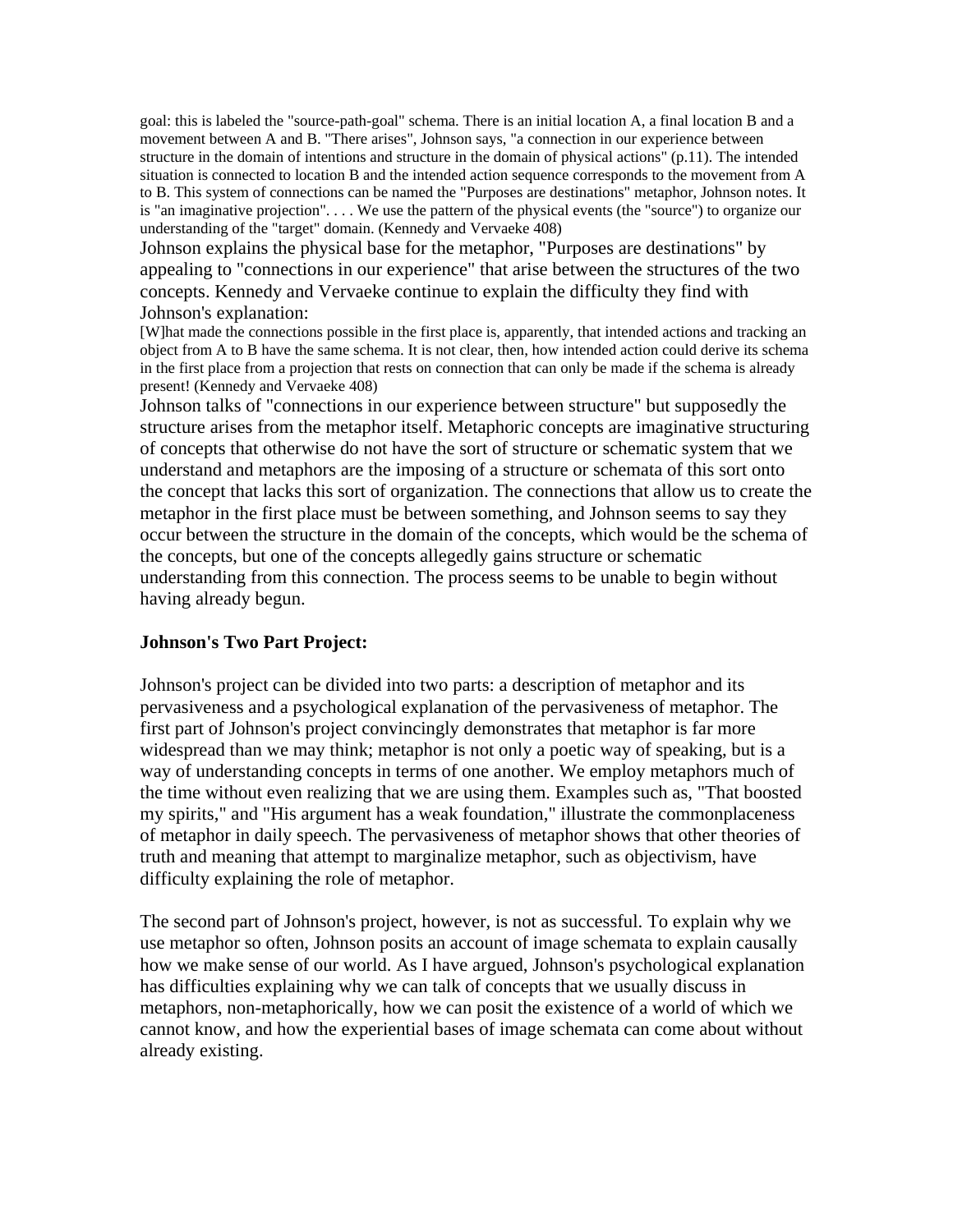goal: this is labeled the "source-path-goal" schema. There is an initial location A, a final location B and a movement between A and B. "There arises", Johnson says, "a connection in our experience between structure in the domain of intentions and structure in the domain of physical actions" (p.11). The intended situation is connected to location B and the intended action sequence corresponds to the movement from A to B. This system of connections can be named the "Purposes are destinations" metaphor, Johnson notes. It is "an imaginative projection". . . . We use the pattern of the physical events (the "source") to organize our understanding of the "target" domain. (Kennedy and Vervaeke 408)

Johnson explains the physical base for the metaphor, "Purposes are destinations" by appealing to "connections in our experience" that arise between the structures of the two concepts. Kennedy and Vervaeke continue to explain the difficulty they find with Johnson's explanation:

[W]hat made the connections possible in the first place is, apparently, that intended actions and tracking an object from A to B have the same schema. It is not clear, then, how intended action could derive its schema in the first place from a projection that rests on connection that can only be made if the schema is already present! (Kennedy and Vervaeke 408)

Johnson talks of "connections in our experience between structure" but supposedly the structure arises from the metaphor itself. Metaphoric concepts are imaginative structuring of concepts that otherwise do not have the sort of structure or schematic system that we understand and metaphors are the imposing of a structure or schemata of this sort onto the concept that lacks this sort of organization. The connections that allow us to create the metaphor in the first place must be between something, and Johnson seems to say they occur between the structure in the domain of the concepts, which would be the schema of the concepts, but one of the concepts allegedly gains structure or schematic understanding from this connection. The process seems to be unable to begin without having already begun.

### **Johnson's Two Part Project:**

Johnson's project can be divided into two parts: a description of metaphor and its pervasiveness and a psychological explanation of the pervasiveness of metaphor. The first part of Johnson's project convincingly demonstrates that metaphor is far more widespread than we may think; metaphor is not only a poetic way of speaking, but is a way of understanding concepts in terms of one another. We employ metaphors much of the time without even realizing that we are using them. Examples such as, "That boosted my spirits," and "His argument has a weak foundation," illustrate the commonplaceness of metaphor in daily speech. The pervasiveness of metaphor shows that other theories of truth and meaning that attempt to marginalize metaphor, such as objectivism, have difficulty explaining the role of metaphor.

The second part of Johnson's project, however, is not as successful. To explain why we use metaphor so often, Johnson posits an account of image schemata to explain causally how we make sense of our world. As I have argued, Johnson's psychological explanation has difficulties explaining why we can talk of concepts that we usually discuss in metaphors, non-metaphorically, how we can posit the existence of a world of which we cannot know, and how the experiential bases of image schemata can come about without already existing.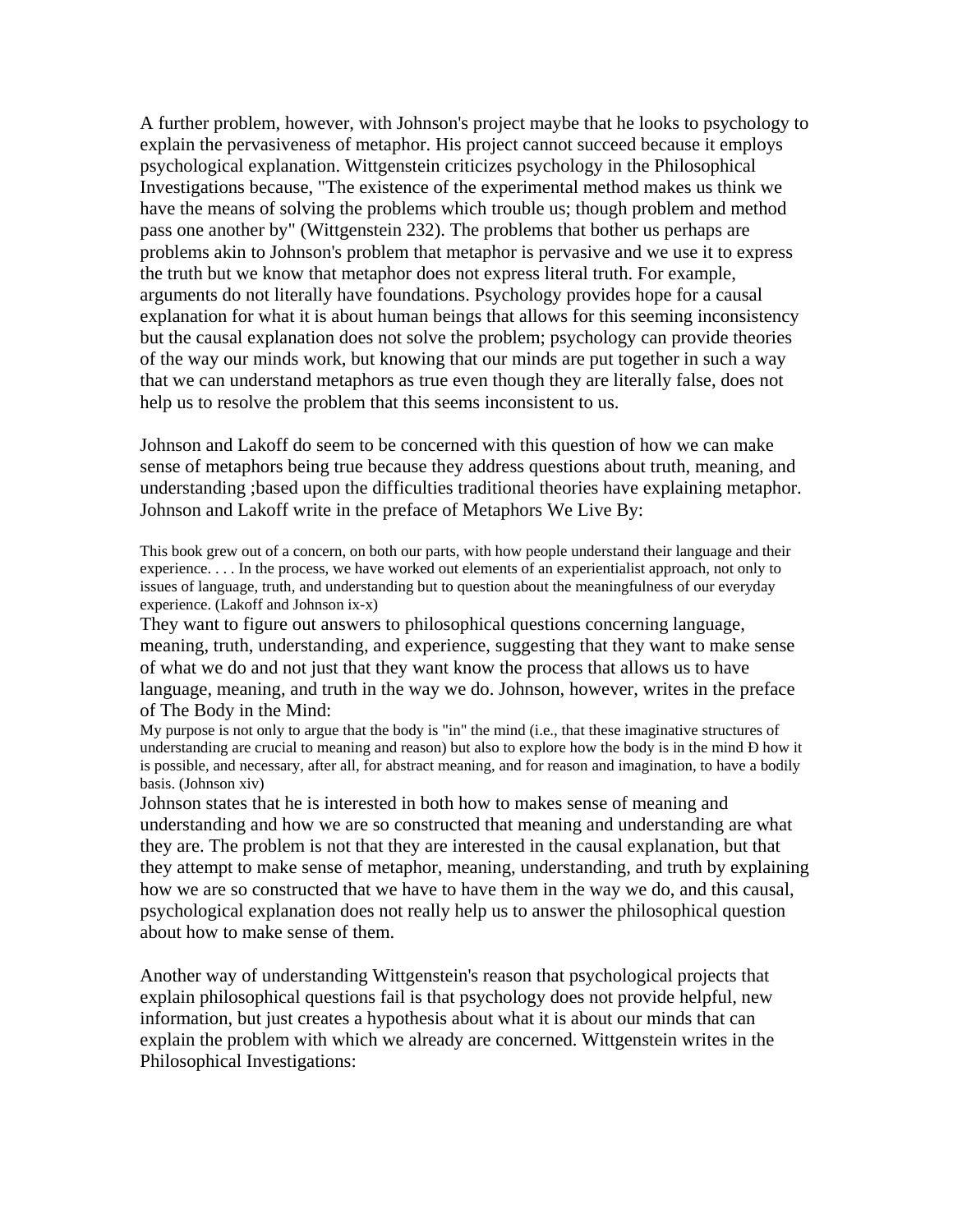A further problem, however, with Johnson's project maybe that he looks to psychology to explain the pervasiveness of metaphor. His project cannot succeed because it employs psychological explanation. Wittgenstein criticizes psychology in the Philosophical Investigations because, "The existence of the experimental method makes us think we have the means of solving the problems which trouble us; though problem and method pass one another by" (Wittgenstein 232). The problems that bother us perhaps are problems akin to Johnson's problem that metaphor is pervasive and we use it to express the truth but we know that metaphor does not express literal truth. For example, arguments do not literally have foundations. Psychology provides hope for a causal explanation for what it is about human beings that allows for this seeming inconsistency but the causal explanation does not solve the problem; psychology can provide theories of the way our minds work, but knowing that our minds are put together in such a way that we can understand metaphors as true even though they are literally false, does not help us to resolve the problem that this seems inconsistent to us.

Johnson and Lakoff do seem to be concerned with this question of how we can make sense of metaphors being true because they address questions about truth, meaning, and understanding ;based upon the difficulties traditional theories have explaining metaphor. Johnson and Lakoff write in the preface of Metaphors We Live By:

This book grew out of a concern, on both our parts, with how people understand their language and their experience. . . . In the process, we have worked out elements of an experientialist approach, not only to issues of language, truth, and understanding but to question about the meaningfulness of our everyday experience. (Lakoff and Johnson ix-x)

They want to figure out answers to philosophical questions concerning language, meaning, truth, understanding, and experience, suggesting that they want to make sense of what we do and not just that they want know the process that allows us to have language, meaning, and truth in the way we do. Johnson, however, writes in the preface of The Body in the Mind:

My purpose is not only to argue that the body is "in" the mind (i.e., that these imaginative structures of understanding are crucial to meaning and reason) but also to explore how the body is in the mind Ð how it is possible, and necessary, after all, for abstract meaning, and for reason and imagination, to have a bodily basis. (Johnson xiv)

Johnson states that he is interested in both how to makes sense of meaning and understanding and how we are so constructed that meaning and understanding are what they are. The problem is not that they are interested in the causal explanation, but that they attempt to make sense of metaphor, meaning, understanding, and truth by explaining how we are so constructed that we have to have them in the way we do, and this causal, psychological explanation does not really help us to answer the philosophical question about how to make sense of them.

Another way of understanding Wittgenstein's reason that psychological projects that explain philosophical questions fail is that psychology does not provide helpful, new information, but just creates a hypothesis about what it is about our minds that can explain the problem with which we already are concerned. Wittgenstein writes in the Philosophical Investigations: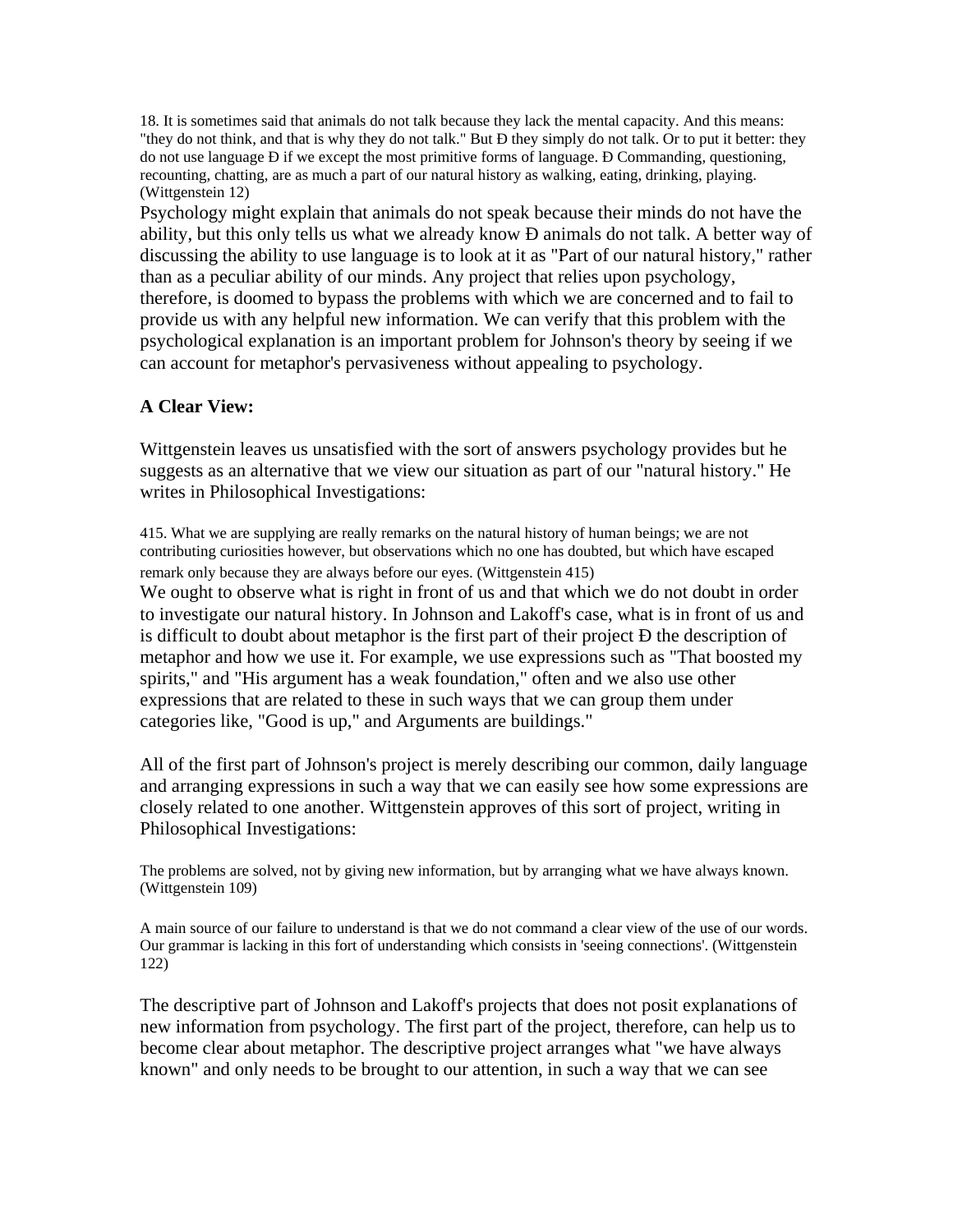18. It is sometimes said that animals do not talk because they lack the mental capacity. And this means: "they do not think, and that is why they do not talk." But Ð they simply do not talk. Or to put it better: they do not use language Ð if we except the most primitive forms of language. Ð Commanding, questioning, recounting, chatting, are as much a part of our natural history as walking, eating, drinking, playing. (Wittgenstein 12)

Psychology might explain that animals do not speak because their minds do not have the ability, but this only tells us what we already know Ð animals do not talk. A better way of discussing the ability to use language is to look at it as "Part of our natural history," rather than as a peculiar ability of our minds. Any project that relies upon psychology, therefore, is doomed to bypass the problems with which we are concerned and to fail to provide us with any helpful new information. We can verify that this problem with the psychological explanation is an important problem for Johnson's theory by seeing if we can account for metaphor's pervasiveness without appealing to psychology.

## **A Clear View:**

Wittgenstein leaves us unsatisfied with the sort of answers psychology provides but he suggests as an alternative that we view our situation as part of our "natural history." He writes in Philosophical Investigations:

415. What we are supplying are really remarks on the natural history of human beings; we are not contributing curiosities however, but observations which no one has doubted, but which have escaped remark only because they are always before our eyes. (Wittgenstein 415)

We ought to observe what is right in front of us and that which we do not doubt in order to investigate our natural history. In Johnson and Lakoff's case, what is in front of us and is difficult to doubt about metaphor is the first part of their project Ð the description of metaphor and how we use it. For example, we use expressions such as "That boosted my spirits," and "His argument has a weak foundation," often and we also use other expressions that are related to these in such ways that we can group them under categories like, "Good is up," and Arguments are buildings."

All of the first part of Johnson's project is merely describing our common, daily language and arranging expressions in such a way that we can easily see how some expressions are closely related to one another. Wittgenstein approves of this sort of project, writing in Philosophical Investigations:

The problems are solved, not by giving new information, but by arranging what we have always known. (Wittgenstein 109)

A main source of our failure to understand is that we do not command a clear view of the use of our words. Our grammar is lacking in this fort of understanding which consists in 'seeing connections'. (Wittgenstein 122)

The descriptive part of Johnson and Lakoff's projects that does not posit explanations of new information from psychology. The first part of the project, therefore, can help us to become clear about metaphor. The descriptive project arranges what "we have always known" and only needs to be brought to our attention, in such a way that we can see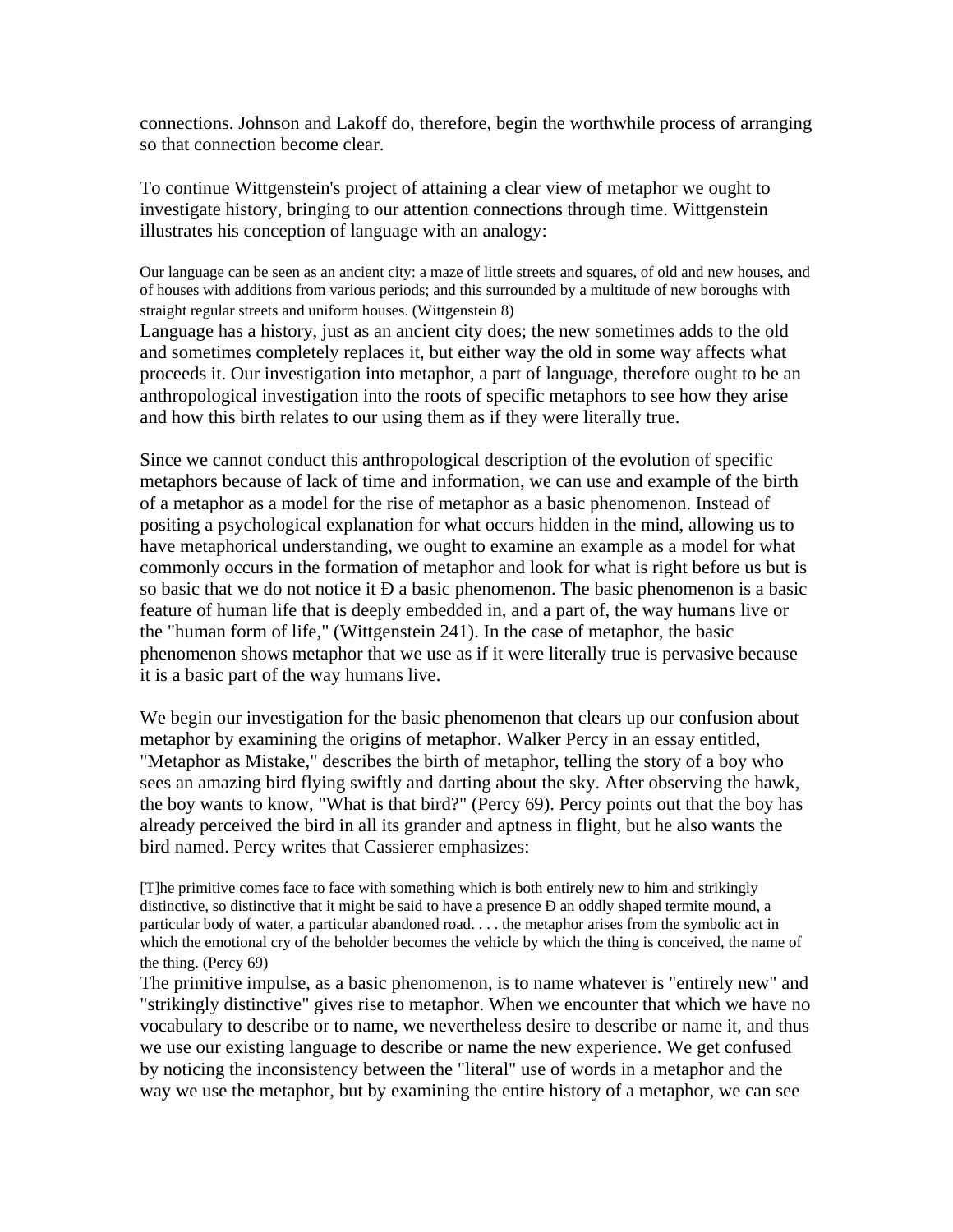connections. Johnson and Lakoff do, therefore, begin the worthwhile process of arranging so that connection become clear.

To continue Wittgenstein's project of attaining a clear view of metaphor we ought to investigate history, bringing to our attention connections through time. Wittgenstein illustrates his conception of language with an analogy:

Our language can be seen as an ancient city: a maze of little streets and squares, of old and new houses, and of houses with additions from various periods; and this surrounded by a multitude of new boroughs with straight regular streets and uniform houses. (Wittgenstein 8)

Language has a history, just as an ancient city does; the new sometimes adds to the old and sometimes completely replaces it, but either way the old in some way affects what proceeds it. Our investigation into metaphor, a part of language, therefore ought to be an anthropological investigation into the roots of specific metaphors to see how they arise and how this birth relates to our using them as if they were literally true.

Since we cannot conduct this anthropological description of the evolution of specific metaphors because of lack of time and information, we can use and example of the birth of a metaphor as a model for the rise of metaphor as a basic phenomenon. Instead of positing a psychological explanation for what occurs hidden in the mind, allowing us to have metaphorical understanding, we ought to examine an example as a model for what commonly occurs in the formation of metaphor and look for what is right before us but is so basic that we do not notice it Ð a basic phenomenon. The basic phenomenon is a basic feature of human life that is deeply embedded in, and a part of, the way humans live or the "human form of life," (Wittgenstein 241). In the case of metaphor, the basic phenomenon shows metaphor that we use as if it were literally true is pervasive because it is a basic part of the way humans live.

We begin our investigation for the basic phenomenon that clears up our confusion about metaphor by examining the origins of metaphor. Walker Percy in an essay entitled, "Metaphor as Mistake," describes the birth of metaphor, telling the story of a boy who sees an amazing bird flying swiftly and darting about the sky. After observing the hawk, the boy wants to know, "What is that bird?" (Percy 69). Percy points out that the boy has already perceived the bird in all its grander and aptness in flight, but he also wants the bird named. Percy writes that Cassierer emphasizes:

[T]he primitive comes face to face with something which is both entirely new to him and strikingly distinctive, so distinctive that it might be said to have a presence Ð an oddly shaped termite mound, a particular body of water, a particular abandoned road. . . . the metaphor arises from the symbolic act in which the emotional cry of the beholder becomes the vehicle by which the thing is conceived, the name of the thing. (Percy 69)

The primitive impulse, as a basic phenomenon, is to name whatever is "entirely new" and "strikingly distinctive" gives rise to metaphor. When we encounter that which we have no vocabulary to describe or to name, we nevertheless desire to describe or name it, and thus we use our existing language to describe or name the new experience. We get confused by noticing the inconsistency between the "literal" use of words in a metaphor and the way we use the metaphor, but by examining the entire history of a metaphor, we can see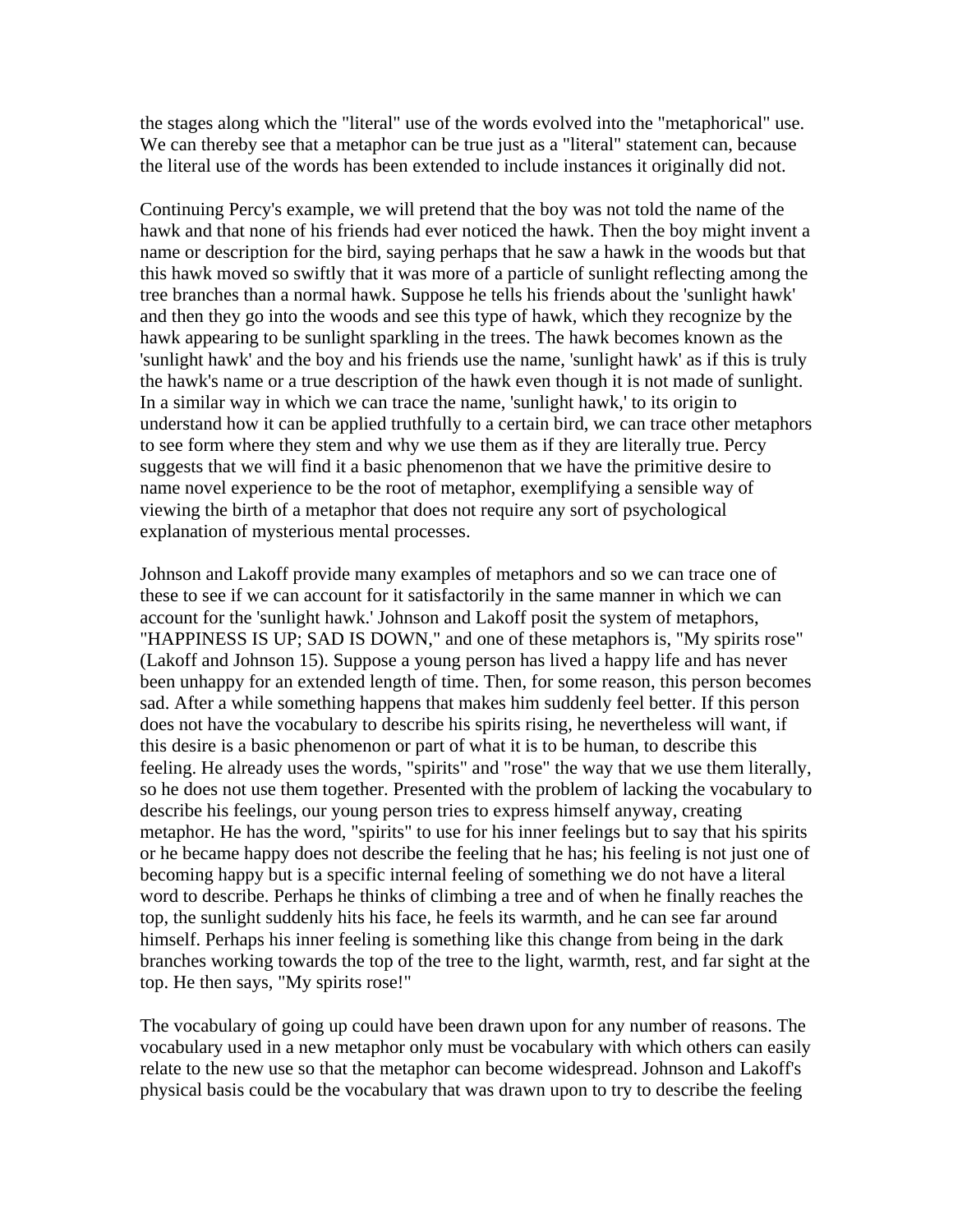the stages along which the "literal" use of the words evolved into the "metaphorical" use. We can thereby see that a metaphor can be true just as a "literal" statement can, because the literal use of the words has been extended to include instances it originally did not.

Continuing Percy's example, we will pretend that the boy was not told the name of the hawk and that none of his friends had ever noticed the hawk. Then the boy might invent a name or description for the bird, saying perhaps that he saw a hawk in the woods but that this hawk moved so swiftly that it was more of a particle of sunlight reflecting among the tree branches than a normal hawk. Suppose he tells his friends about the 'sunlight hawk' and then they go into the woods and see this type of hawk, which they recognize by the hawk appearing to be sunlight sparkling in the trees. The hawk becomes known as the 'sunlight hawk' and the boy and his friends use the name, 'sunlight hawk' as if this is truly the hawk's name or a true description of the hawk even though it is not made of sunlight. In a similar way in which we can trace the name, 'sunlight hawk,' to its origin to understand how it can be applied truthfully to a certain bird, we can trace other metaphors to see form where they stem and why we use them as if they are literally true. Percy suggests that we will find it a basic phenomenon that we have the primitive desire to name novel experience to be the root of metaphor, exemplifying a sensible way of viewing the birth of a metaphor that does not require any sort of psychological explanation of mysterious mental processes.

Johnson and Lakoff provide many examples of metaphors and so we can trace one of these to see if we can account for it satisfactorily in the same manner in which we can account for the 'sunlight hawk.' Johnson and Lakoff posit the system of metaphors, "HAPPINESS IS UP; SAD IS DOWN," and one of these metaphors is, "My spirits rose" (Lakoff and Johnson 15). Suppose a young person has lived a happy life and has never been unhappy for an extended length of time. Then, for some reason, this person becomes sad. After a while something happens that makes him suddenly feel better. If this person does not have the vocabulary to describe his spirits rising, he nevertheless will want, if this desire is a basic phenomenon or part of what it is to be human, to describe this feeling. He already uses the words, "spirits" and "rose" the way that we use them literally, so he does not use them together. Presented with the problem of lacking the vocabulary to describe his feelings, our young person tries to express himself anyway, creating metaphor. He has the word, "spirits" to use for his inner feelings but to say that his spirits or he became happy does not describe the feeling that he has; his feeling is not just one of becoming happy but is a specific internal feeling of something we do not have a literal word to describe. Perhaps he thinks of climbing a tree and of when he finally reaches the top, the sunlight suddenly hits his face, he feels its warmth, and he can see far around himself. Perhaps his inner feeling is something like this change from being in the dark branches working towards the top of the tree to the light, warmth, rest, and far sight at the top. He then says, "My spirits rose!"

The vocabulary of going up could have been drawn upon for any number of reasons. The vocabulary used in a new metaphor only must be vocabulary with which others can easily relate to the new use so that the metaphor can become widespread. Johnson and Lakoff's physical basis could be the vocabulary that was drawn upon to try to describe the feeling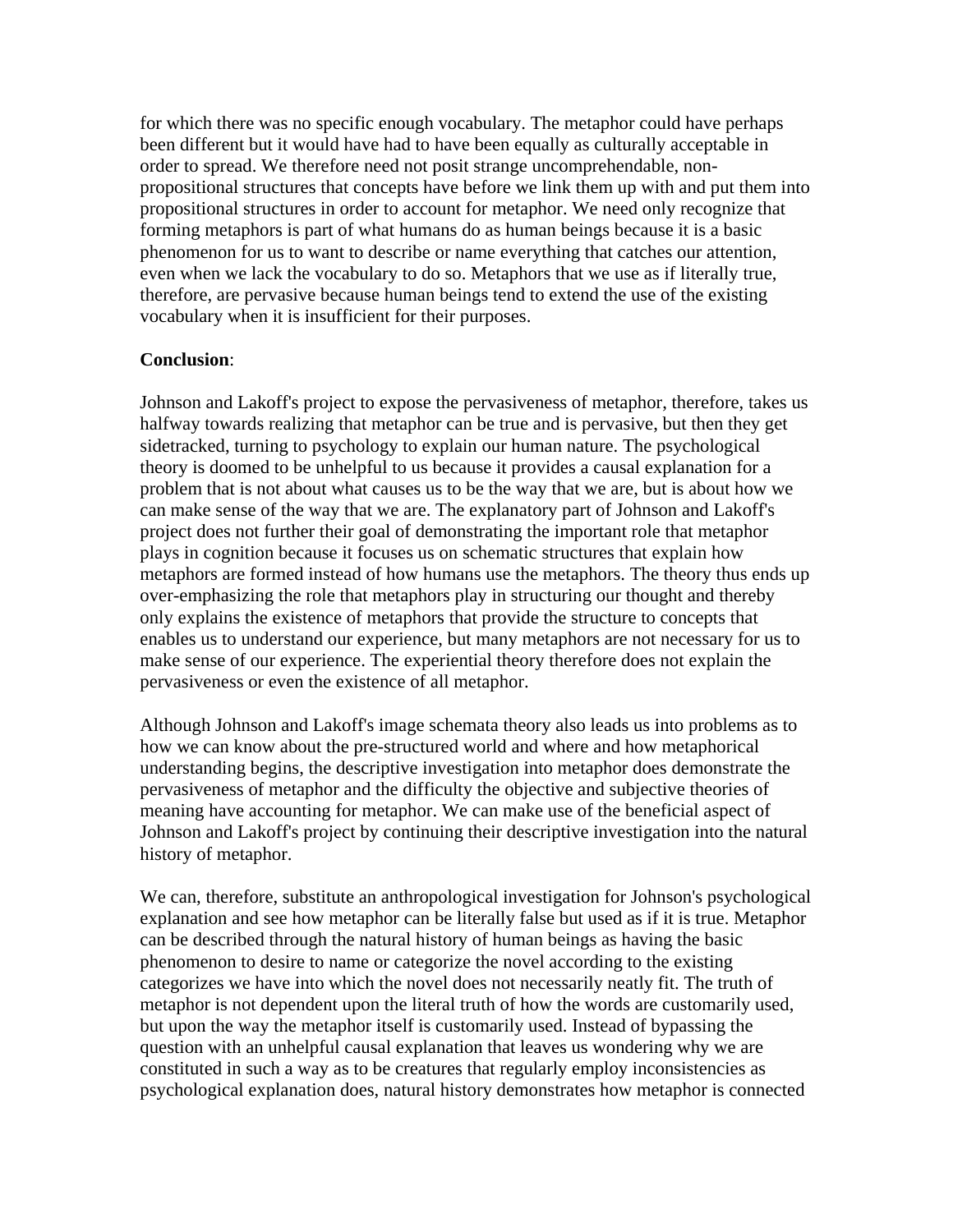for which there was no specific enough vocabulary. The metaphor could have perhaps been different but it would have had to have been equally as culturally acceptable in order to spread. We therefore need not posit strange uncomprehendable, nonpropositional structures that concepts have before we link them up with and put them into propositional structures in order to account for metaphor. We need only recognize that forming metaphors is part of what humans do as human beings because it is a basic phenomenon for us to want to describe or name everything that catches our attention, even when we lack the vocabulary to do so. Metaphors that we use as if literally true, therefore, are pervasive because human beings tend to extend the use of the existing vocabulary when it is insufficient for their purposes.

## **Conclusion**:

Johnson and Lakoff's project to expose the pervasiveness of metaphor, therefore, takes us halfway towards realizing that metaphor can be true and is pervasive, but then they get sidetracked, turning to psychology to explain our human nature. The psychological theory is doomed to be unhelpful to us because it provides a causal explanation for a problem that is not about what causes us to be the way that we are, but is about how we can make sense of the way that we are. The explanatory part of Johnson and Lakoff's project does not further their goal of demonstrating the important role that metaphor plays in cognition because it focuses us on schematic structures that explain how metaphors are formed instead of how humans use the metaphors. The theory thus ends up over-emphasizing the role that metaphors play in structuring our thought and thereby only explains the existence of metaphors that provide the structure to concepts that enables us to understand our experience, but many metaphors are not necessary for us to make sense of our experience. The experiential theory therefore does not explain the pervasiveness or even the existence of all metaphor.

Although Johnson and Lakoff's image schemata theory also leads us into problems as to how we can know about the pre-structured world and where and how metaphorical understanding begins, the descriptive investigation into metaphor does demonstrate the pervasiveness of metaphor and the difficulty the objective and subjective theories of meaning have accounting for metaphor. We can make use of the beneficial aspect of Johnson and Lakoff's project by continuing their descriptive investigation into the natural history of metaphor.

We can, therefore, substitute an anthropological investigation for Johnson's psychological explanation and see how metaphor can be literally false but used as if it is true. Metaphor can be described through the natural history of human beings as having the basic phenomenon to desire to name or categorize the novel according to the existing categorizes we have into which the novel does not necessarily neatly fit. The truth of metaphor is not dependent upon the literal truth of how the words are customarily used, but upon the way the metaphor itself is customarily used. Instead of bypassing the question with an unhelpful causal explanation that leaves us wondering why we are constituted in such a way as to be creatures that regularly employ inconsistencies as psychological explanation does, natural history demonstrates how metaphor is connected